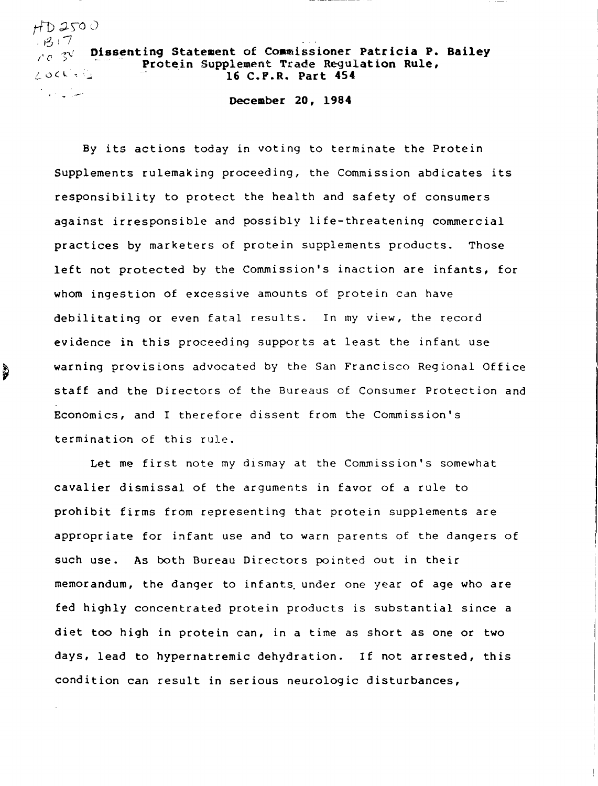## $+T$ ) 250 $0$  $3.7$ Dissenting Statement of Coamissioner Patricia P. Bailey  $10^{-31}$ Protein Supplement Trade Regulation Rule,  $\wedge$  ock  $\tau \otimes$ 16 C.F.R. Part 454

.<br>.... ان الماليات الماليات

~

December 20, 1984

By its actions today in voting to terminate the Protein Supplements rulemaking proceeding, the Commission abdicates its responsibility to protect the health and safety of consumers against irresponsible and possibly life-threatening commercial practices by marketers of protein supplements products. Those left not protected by the Commission's inaction are infants, for whom ingestion of excessive amounts of protein can have debilitating or even fatal results. In my view, the record evidence in this proceeding supports at least the infant use warning provisions advocated by the San Francisco Regional Office staff and the Directors of the Bureaus of Consumer Protection and Economics, and I therefore dissent from the Commission's termination of this rule.

Let me first note my dismay at the Commission's somewhat cavalier dismissal of the arguments in favor of a rule to prohibit firms from representing that protein supplements are appropriate for infant use and to warn parents of the dangers of such use. As both Bureau Directors pointed out in their memorandum, the danger to infants under one year of age who are fed highly concentrated protein products is substantial since a diet too high in protein can, in a time as short as one or two days, lead to hypernatremic dehydration. If not arrested, this condition can result in serious neurologic disturbances,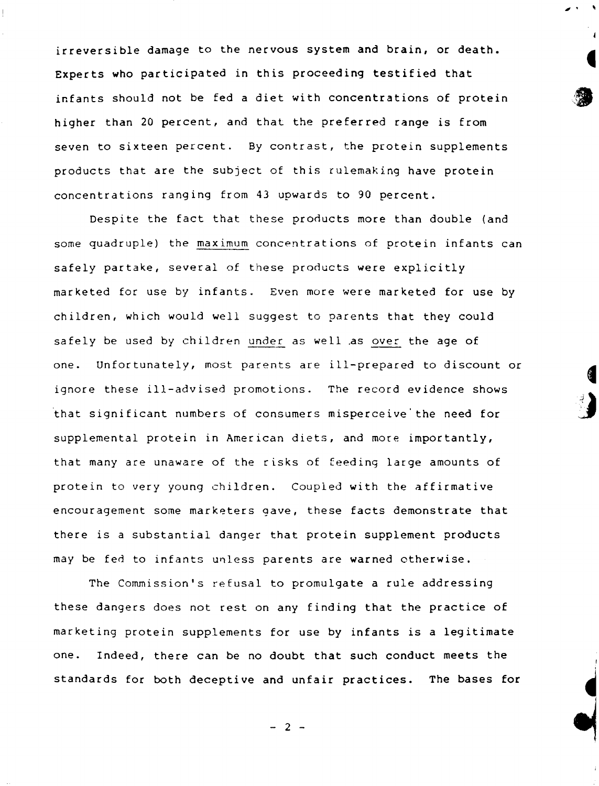irreversible damage to the nervous system and brain, or death. Experts who participated in this proceeding testified that infants should not be fed a diet with concentrations of protein higher than 20 percent, and that the preferred range is from seven to sixteen percent. By contrast, the protein supplements products that are the subject of this rulemaking have protein concentrations ranging from 43 upwards to 90 percent.

 $\overline{\phantom{a}}$ 

Despite the fact that these products more than double (and some quadruple) the maximum concentrations of protein infants can safely partake, several of these products were explicitly marketed for use by infants. Even more were marketed for use by children, which would well suggest to parents that they could safely be used by children under as well as over the age of one. Unfortunately, most parents are ill-prepared to discount or ignore these ill-advised promotions. The record evidence shows that significant numbers of consumers misperceive the need for supplemental protein in American diets, and more importantly, that many are unaware of the risks of feeding large amounts of protein to very young children. Coupled with the affirmative encouragement some marketers gave, these facts demonstrate that there is a substantial danger that protein supplement products may be fed to infants unless parents are warned otherwise.

The Commission's refusal to promulgate a rule addressing these dangers does not rest on any finding that the practice of marketing protein supplements for use by infants is a legitimate one. Indeed, there can be no doubt that such conduct meets the standards for both deceptive and unfair practices. The bases for

 $- 2 -$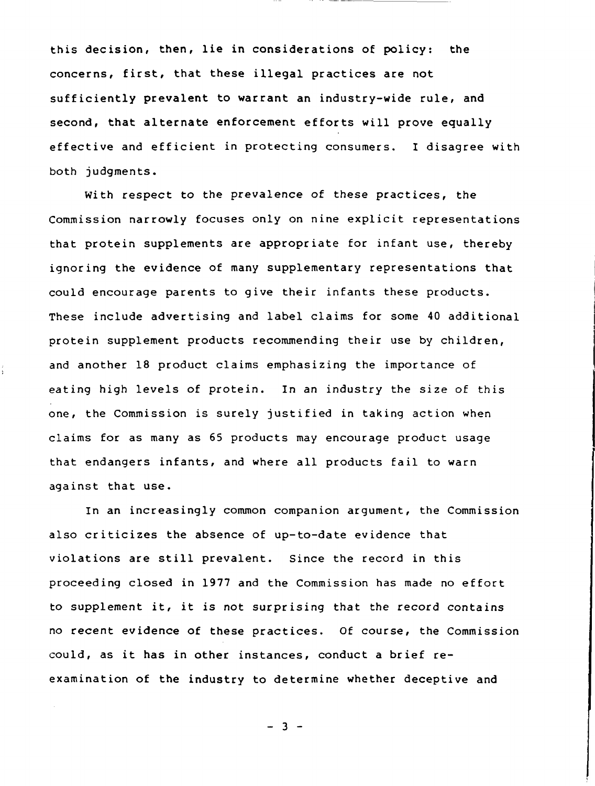this decision, then, lie in considerations of policy: the concerns, first, that these illegal practices are not sufficiently prevalent to warrant an industry-wide rule, and second, that alternate enforcement efforts will prove equally effective and efficient in protecting consumers. I disagree with both judgments.

With respect to the prevalence of these practices, the Commission narrowly focuses only on nine explicit representations that protein supplements are appropriate for infant use, thereby ignoring the evidence of many supplementary representations that could encourage parents to give their infants these products. These include advertising and label claims for some 40 additional protein supplement products recommending their use by children, and another 18 product claims emphasizing the importance of eating high levels of protein. In an industry the size of this one, the Commission is surely justified in taking action when claims for as many as 65 products may encourage product usage that endangers infants, and where all products fail to warn against that use.

In an increasingly common companion argument, the Commission also criticizes the absence of up-to-date evidence that violations are still prevalent. Since the record in this proceeding closed in 1977 and the Commission has made no effort to supplement it, it is not surprising that the record contains no recent evidence of these practices. Of course, the Commission could, as it has in other instances, conduct a brief reexamination of the industry to determine whether deceptive and

 $- 3 -$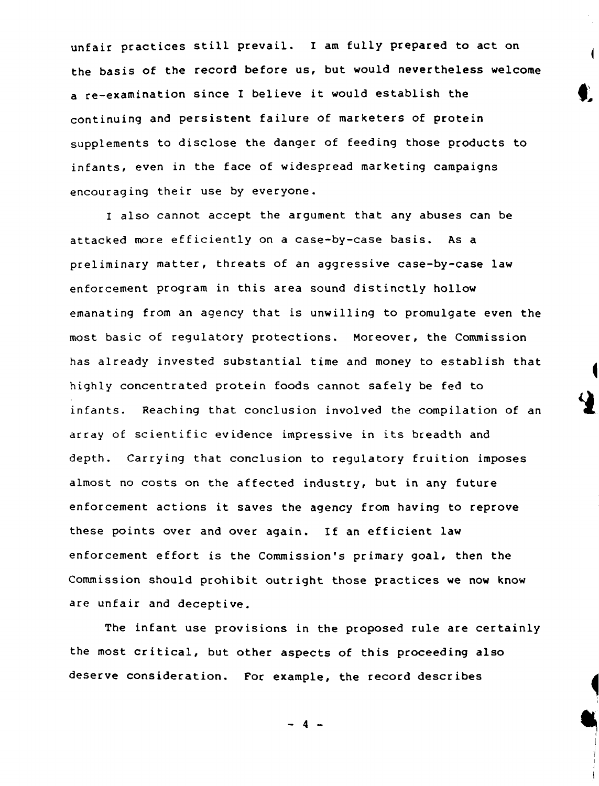unfair practices still prevail. I am fully prepared to act on the basis of the record before us, but would nevertheless welcome a re-examination since I believe it would establish the continuing and persistent failure of marketers of protein supplements to disclose the danger of feeding those products to infants, even in the face of widespread marketing campaigns encouraging their use by everyone.

I also cannot accept the argument that any abuses can be attacked more efficiently on a case-by-case basis. As a preliminary matter, threats of an aggressive case-by-case law enforcement program in this area sound distinctly hollow emanating from an agency that is unwilling to promulgate even the most basic of regulatory protections. Moreover, the Commission has already invested substantial time and money to establish that highly concentrated protein foods cannot safely be fed to infants. Reaching that conclusion involved the compilation of an array of scientific evidence impressive in its breadth and depth. Carrying that conclusion to regulatory fruition imposes almost no costs on the affected industry, but in any future enforcement actions it saves the agency from having to reprove these points over and over again. If an efficient law enforcement effort is the Commission's primary goal, then the Commission should prohibit outright those practices we now know are unfair and deceptive.

The infant use provisions in the proposed rule are certainly the most critical, but other aspects of this proceeding also deserve consideration. For example, the record describes

 $-$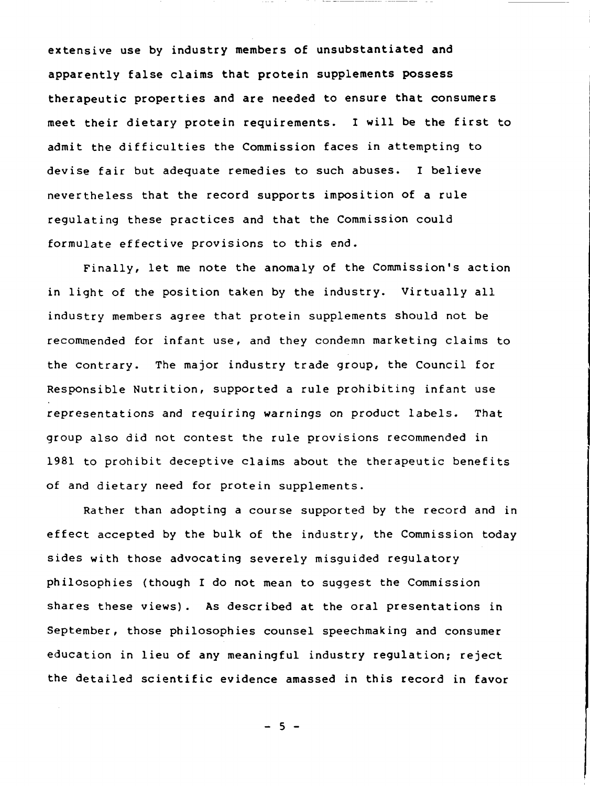extensive use by industry members of unsubstantiated and apparently false claims that protein supplements possess therapeutic properties and are needed to ensure that consumers meet their dietary protein requirements. I will be the first to admit the difficulties the Commission faces in attempting to devise fair but adequate remedies to such abuses. I believe nevertheless that the record supports imposition of a rule regulating these practices and that the Commission could formulate effective provisions to this end.

Finally, let me note the anomaly of the Commission's action in light of the position taken by the industry. Virtually all industry members agree that protein supplements should not be recommended for infant use, and they condemn marketing claims to the contrary. The major industry trade group, the Council for Responsible Nutrition, supported a rule prohibiting infant use representations and requiring warnings on product labels. That group also did not contest the rule provisions recommended in 1981 to prohibit deceptive claims about the therapeutic benefits of and dietary need for protein supplements.

Rather than adopting a course supported by the record and in effect accepted by the bulk of the industry, the Commission today sides with those advocating severely misguided regulatory philosophies {though I do not mean to suggest the Commission shares these views). As described at the oral presentations in September, those philosophies counsel speechmaking and consumer education in lieu of any meaningful industry regulation; reject the detailed scientific evidence amassed in this record in favor

 $-5 -$